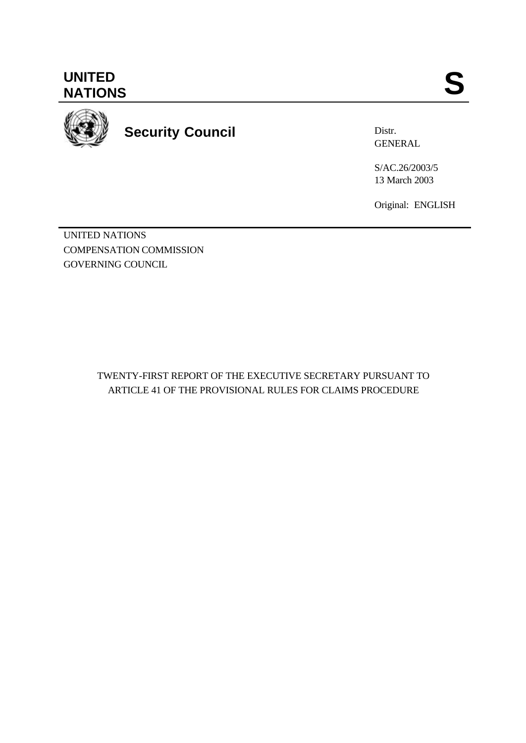**UNITED** UNITED SANTIONS



**Security Council**

Distr. GENERAL

S/AC.26/2003/5 13 March 2003

Original: ENGLISH

UNITED NATIONS COMPENSATION COMMISSION GOVERNING COUNCIL

> TWENTY-FIRST REPORT OF THE EXECUTIVE SECRETARY PURSUANT TO ARTICLE 41 OF THE PROVISIONAL RULES FOR CLAIMS PROCEDURE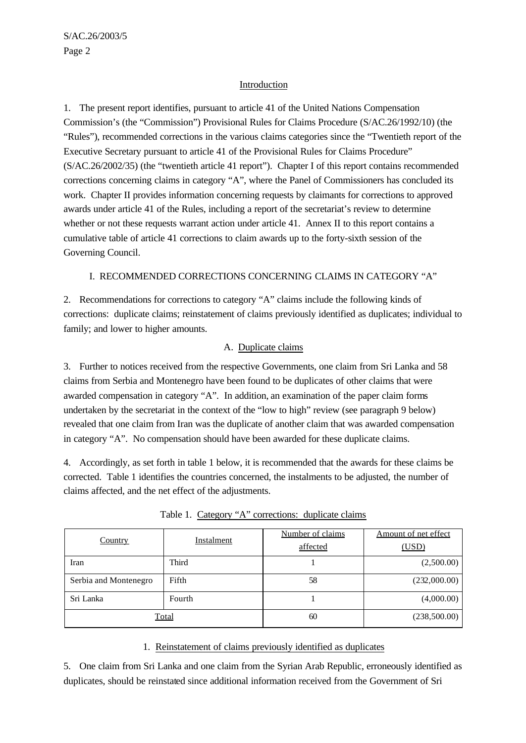## Introduction

1. The present report identifies, pursuant to article 41 of the United Nations Compensation Commission's (the "Commission") Provisional Rules for Claims Procedure (S/AC.26/1992/10) (the "Rules"), recommended corrections in the various claims categories since the "Twentieth report of the Executive Secretary pursuant to article 41 of the Provisional Rules for Claims Procedure" (S/AC.26/2002/35) (the "twentieth article 41 report"). Chapter I of this report contains recommended corrections concerning claims in category "A", where the Panel of Commissioners has concluded its work. Chapter II provides information concerning requests by claimants for corrections to approved awards under article 41 of the Rules, including a report of the secretariat's review to determine whether or not these requests warrant action under article 41. Annex II to this report contains a cumulative table of article 41 corrections to claim awards up to the forty-sixth session of the Governing Council.

## I. RECOMMENDED CORRECTIONS CONCERNING CLAIMS IN CATEGORY "A"

2. Recommendations for corrections to category "A" claims include the following kinds of corrections: duplicate claims; reinstatement of claims previously identified as duplicates; individual to family; and lower to higher amounts.

## A. Duplicate claims

3. Further to notices received from the respective Governments, one claim from Sri Lanka and 58 claims from Serbia and Montenegro have been found to be duplicates of other claims that were awarded compensation in category "A". In addition, an examination of the paper claim forms undertaken by the secretariat in the context of the "low to high" review (see paragraph 9 below) revealed that one claim from Iran was the duplicate of another claim that was awarded compensation in category "A". No compensation should have been awarded for these duplicate claims.

4. Accordingly, as set forth in table 1 below, it is recommended that the awards for these claims be corrected. Table 1 identifies the countries concerned, the instalments to be adjusted, the number of claims affected, and the net effect of the adjustments.

| <b>Country</b>        | Instalment   | Number of claims<br>affected | Amount of net effect<br>(USD) |
|-----------------------|--------------|------------------------------|-------------------------------|
| Iran                  | Third        |                              | (2,500.00)                    |
| Serbia and Montenegro | Fifth        | 58                           | (232,000.00)                  |
| Sri Lanka             | Fourth       |                              | (4,000.00)                    |
|                       | <b>Total</b> | 60                           | (238,500.00)                  |

Table 1. Category "A" corrections: duplicate claims

## 1. Reinstatement of claims previously identified as duplicates

5. One claim from Sri Lanka and one claim from the Syrian Arab Republic, erroneously identified as duplicates, should be reinstated since additional information received from the Government of Sri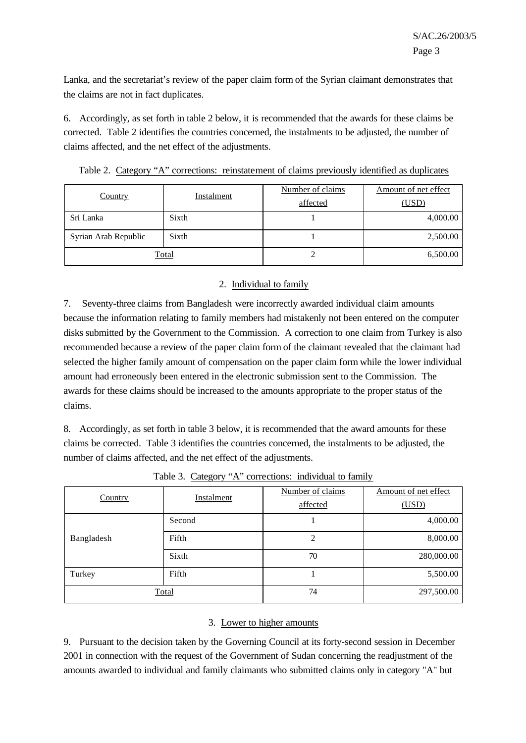Lanka, and the secretariat's review of the paper claim form of the Syrian claimant demonstrates that the claims are not in fact duplicates.

6. Accordingly, as set forth in table 2 below, it is recommended that the awards for these claims be corrected. Table 2 identifies the countries concerned, the instalments to be adjusted, the number of claims affected, and the net effect of the adjustments.

Table 2. Category "A" corrections: reinstatement of claims previously identified as duplicates

| <b>Country</b>       | <b>Instalment</b> | Number of claims<br>affected | Amount of net effect<br>(USD) |
|----------------------|-------------------|------------------------------|-------------------------------|
| Sri Lanka            | Sixth             |                              | 4,000.00                      |
| Syrian Arab Republic | Sixth             |                              | 2,500.00                      |
| <u>Total</u>         |                   |                              | 6,500.00                      |

## 2. Individual to family

7. Seventy-three claims from Bangladesh were incorrectly awarded individual claim amounts because the information relating to family members had mistakenly not been entered on the computer disks submitted by the Government to the Commission. A correction to one claim from Turkey is also recommended because a review of the paper claim form of the claimant revealed that the claimant had selected the higher family amount of compensation on the paper claim form while the lower individual amount had erroneously been entered in the electronic submission sent to the Commission. The awards for these claims should be increased to the amounts appropriate to the proper status of the claims.

8. Accordingly, as set forth in table 3 below, it is recommended that the award amounts for these claims be corrected. Table 3 identifies the countries concerned, the instalments to be adjusted, the number of claims affected, and the net effect of the adjustments.

| Country    | <b>Instalment</b> | Number of claims<br>affected | Amount of net effect<br>(USD) |
|------------|-------------------|------------------------------|-------------------------------|
|            | Second            |                              | 4,000.00                      |
| Bangladesh | Fifth             | 2                            | 8,000.00                      |
|            | Sixth             | 70                           | 280,000.00                    |
| Turkey     | Fifth             |                              | 5,500.00                      |
|            | Total             | 74                           | 297,500.00                    |

Table 3. Category "A" corrections: individual to family

## 3. Lower to higher amounts

9. Pursuant to the decision taken by the Governing Council at its forty-second session in December 2001 in connection with the request of the Government of Sudan concerning the readjustment of the amounts awarded to individual and family claimants who submitted claims only in category "A" but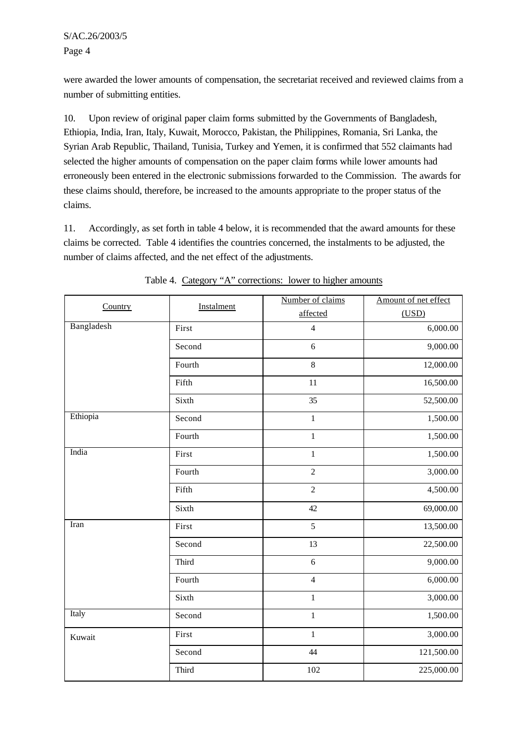were awarded the lower amounts of compensation, the secretariat received and reviewed claims from a number of submitting entities.

10. Upon review of original paper claim forms submitted by the Governments of Bangladesh, Ethiopia, India, Iran, Italy, Kuwait, Morocco, Pakistan, the Philippines, Romania, Sri Lanka, the Syrian Arab Republic, Thailand, Tunisia, Turkey and Yemen, it is confirmed that 552 claimants had selected the higher amounts of compensation on the paper claim forms while lower amounts had erroneously been entered in the electronic submissions forwarded to the Commission. The awards for these claims should, therefore, be increased to the amounts appropriate to the proper status of the claims.

11. Accordingly, as set forth in table 4 below, it is recommended that the award amounts for these claims be corrected. Table 4 identifies the countries concerned, the instalments to be adjusted, the number of claims affected, and the net effect of the adjustments.

| Country    | Instalment | Number of claims | Amount of net effect |
|------------|------------|------------------|----------------------|
|            |            | affected         | (USD)                |
| Bangladesh | First      | $\overline{4}$   | 6,000.00             |
|            | Second     | 6                | 9,000.00             |
|            | Fourth     | 8                | 12,000.00            |
|            | Fifth      | 11               | 16,500.00            |
|            | Sixth      | 35               | 52,500.00            |
| Ethiopia   | Second     | $\,1$            | 1,500.00             |
|            | Fourth     | $\,1\,$          | 1,500.00             |
| India      | First      | $\,1$            | 1,500.00             |
|            | Fourth     | $\overline{c}$   | 3,000.00             |
|            | Fifth      | $\overline{c}$   | 4,500.00             |
|            | Sixth      | 42               | 69,000.00            |
| Iran       | First      | 5                | 13,500.00            |
|            | Second     | 13               | 22,500.00            |
|            | Third      | 6                | 9,000.00             |
|            | Fourth     | $\overline{4}$   | 6,000.00             |
|            | Sixth      | $\mathbf 1$      | 3,000.00             |
| Italy      | Second     | $\,1\,$          | 1,500.00             |
| Kuwait     | First      | $\,1\,$          | 3,000.00             |
|            | Second     | 44               | 121,500.00           |
|            | Third      | 102              | 225,000.00           |

Table 4. Category "A" corrections: lower to higher amounts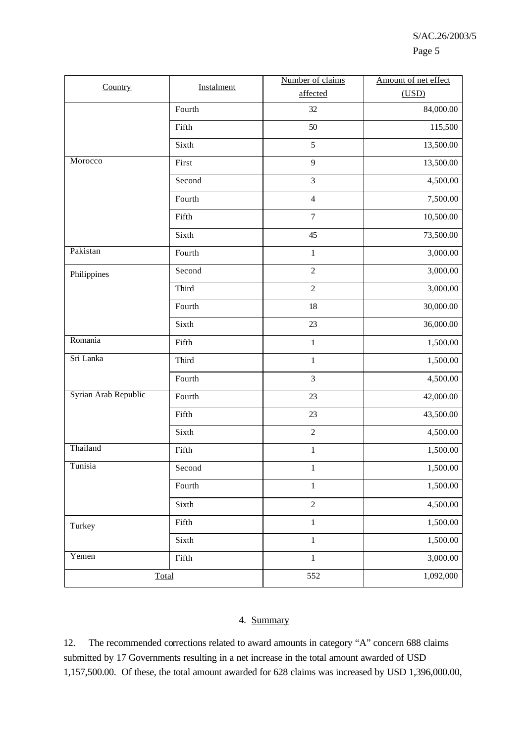| Country              | Instalment | Number of claims | Amount of net effect |  |
|----------------------|------------|------------------|----------------------|--|
|                      |            | affected         | (USD)                |  |
|                      | Fourth     | 32               | 84,000.00            |  |
|                      | Fifth      | 50               | 115,500              |  |
|                      | Sixth      | 5                | 13,500.00            |  |
| Morocco              | First      | 9                | 13,500.00            |  |
|                      | Second     | $\mathfrak{Z}$   | 4,500.00             |  |
|                      | Fourth     | $\overline{4}$   | 7,500.00             |  |
|                      | Fifth      | $\boldsymbol{7}$ | 10,500.00            |  |
|                      | Sixth      | 45               | 73,500.00            |  |
| Pakistan             | Fourth     | $\,1\,$          | 3,000.00             |  |
| Philippines          | Second     | $\sqrt{2}$       | 3,000.00             |  |
|                      | Third      | $\overline{2}$   | 3,000.00             |  |
|                      | Fourth     | 18               | 30,000.00            |  |
|                      | Sixth      | 23               | 36,000.00            |  |
| Romania              | Fifth      | $\mathbf 1$      | 1,500.00             |  |
| Sri Lanka            | Third      | $\,1\,$          | 1,500.00             |  |
|                      | Fourth     | $\overline{3}$   | 4,500.00             |  |
| Syrian Arab Republic | Fourth     | 23               | 42,000.00            |  |
|                      | Fifth      | 23               | 43,500.00            |  |
|                      | Sixth      | $\sqrt{2}$       | 4,500.00             |  |
| Thailand             | Fifth      | $\,1\,$          | 1,500.00             |  |
| Tunisia              | Second     | $\mathbf{1}$     | 1,500.00             |  |
|                      | Fourth     | $\mathbf 1$      | 1,500.00             |  |
|                      | Sixth      | $\overline{c}$   | 4,500.00             |  |
| Turkey               | Fifth      | $\,1\,$          | 1,500.00             |  |
|                      | Sixth      | $\,1\,$          | 1,500.00             |  |
| Yemen                | Fifth      | $\mathbf 1$      | 3,000.00             |  |
| Total                | 552        |                  | 1,092,000            |  |

## 4. Summary

12. The recommended corrections related to award amounts in category "A" concern 688 claims submitted by 17 Governments resulting in a net increase in the total amount awarded of USD 1,157,500.00. Of these, the total amount awarded for 628 claims was increased by USD 1,396,000.00,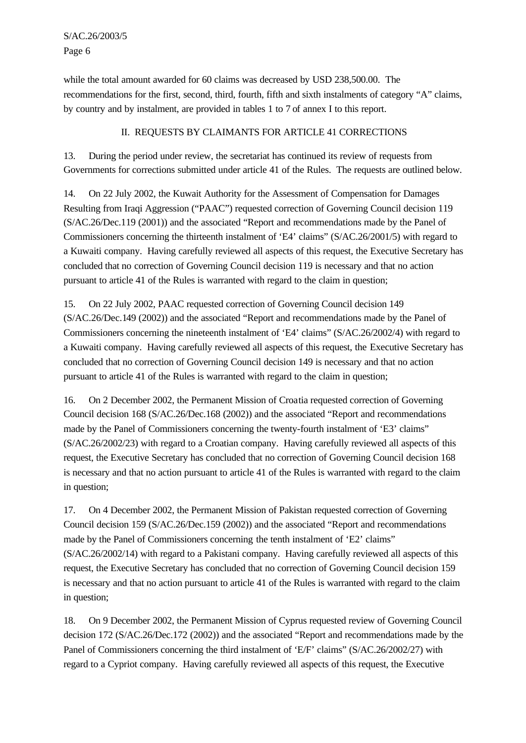while the total amount awarded for 60 claims was decreased by USD 238,500.00. The recommendations for the first, second, third, fourth, fifth and sixth instalments of category "A" claims, by country and by instalment, are provided in tables 1 to 7 of annex I to this report.

# II. REQUESTS BY CLAIMANTS FOR ARTICLE 41 CORRECTIONS

13. During the period under review, the secretariat has continued its review of requests from Governments for corrections submitted under article 41 of the Rules. The requests are outlined below.

14. On 22 July 2002, the Kuwait Authority for the Assessment of Compensation for Damages Resulting from Iraqi Aggression ("PAAC") requested correction of Governing Council decision 119 (S/AC.26/Dec.119 (2001)) and the associated "Report and recommendations made by the Panel of Commissioners concerning the thirteenth instalment of 'E4' claims" (S/AC.26/2001/5) with regard to a Kuwaiti company. Having carefully reviewed all aspects of this request, the Executive Secretary has concluded that no correction of Governing Council decision 119 is necessary and that no action pursuant to article 41 of the Rules is warranted with regard to the claim in question;

15. On 22 July 2002, PAAC requested correction of Governing Council decision 149 (S/AC.26/Dec.149 (2002)) and the associated "Report and recommendations made by the Panel of Commissioners concerning the nineteenth instalment of 'E4' claims" (S/AC.26/2002/4) with regard to a Kuwaiti company. Having carefully reviewed all aspects of this request, the Executive Secretary has concluded that no correction of Governing Council decision 149 is necessary and that no action pursuant to article 41 of the Rules is warranted with regard to the claim in question;

16. On 2 December 2002, the Permanent Mission of Croatia requested correction of Governing Council decision 168 (S/AC.26/Dec.168 (2002)) and the associated "Report and recommendations made by the Panel of Commissioners concerning the twenty-fourth instalment of 'E3' claims" (S/AC.26/2002/23) with regard to a Croatian company. Having carefully reviewed all aspects of this request, the Executive Secretary has concluded that no correction of Governing Council decision 168 is necessary and that no action pursuant to article 41 of the Rules is warranted with regard to the claim in question;

17. On 4 December 2002, the Permanent Mission of Pakistan requested correction of Governing Council decision 159 (S/AC.26/Dec.159 (2002)) and the associated "Report and recommendations made by the Panel of Commissioners concerning the tenth instalment of 'E2' claims" (S/AC.26/2002/14) with regard to a Pakistani company. Having carefully reviewed all aspects of this request, the Executive Secretary has concluded that no correction of Governing Council decision 159 is necessary and that no action pursuant to article 41 of the Rules is warranted with regard to the claim in question;

18. On 9 December 2002, the Permanent Mission of Cyprus requested review of Governing Council decision 172 (S/AC.26/Dec.172 (2002)) and the associated "Report and recommendations made by the Panel of Commissioners concerning the third instalment of 'E/F' claims" (S/AC.26/2002/27) with regard to a Cypriot company. Having carefully reviewed all aspects of this request, the Executive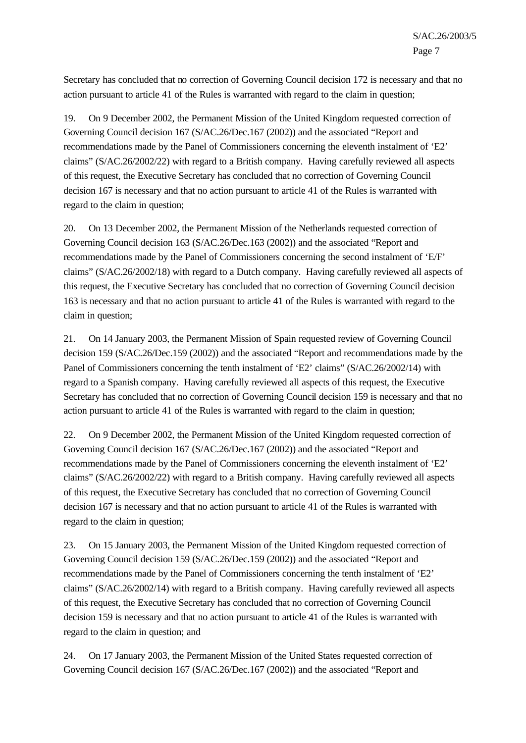Secretary has concluded that no correction of Governing Council decision 172 is necessary and that no action pursuant to article 41 of the Rules is warranted with regard to the claim in question;

19. On 9 December 2002, the Permanent Mission of the United Kingdom requested correction of Governing Council decision 167 (S/AC.26/Dec.167 (2002)) and the associated "Report and recommendations made by the Panel of Commissioners concerning the eleventh instalment of 'E2' claims" (S/AC.26/2002/22) with regard to a British company. Having carefully reviewed all aspects of this request, the Executive Secretary has concluded that no correction of Governing Council decision 167 is necessary and that no action pursuant to article 41 of the Rules is warranted with regard to the claim in question;

20. On 13 December 2002, the Permanent Mission of the Netherlands requested correction of Governing Council decision 163 (S/AC.26/Dec.163 (2002)) and the associated "Report and recommendations made by the Panel of Commissioners concerning the second instalment of 'E/F' claims" (S/AC.26/2002/18) with regard to a Dutch company. Having carefully reviewed all aspects of this request, the Executive Secretary has concluded that no correction of Governing Council decision 163 is necessary and that no action pursuant to article 41 of the Rules is warranted with regard to the claim in question;

21. On 14 January 2003, the Permanent Mission of Spain requested review of Governing Council decision 159 (S/AC.26/Dec.159 (2002)) and the associated "Report and recommendations made by the Panel of Commissioners concerning the tenth instalment of 'E2' claims" (S/AC.26/2002/14) with regard to a Spanish company. Having carefully reviewed all aspects of this request, the Executive Secretary has concluded that no correction of Governing Council decision 159 is necessary and that no action pursuant to article 41 of the Rules is warranted with regard to the claim in question;

22. On 9 December 2002, the Permanent Mission of the United Kingdom requested correction of Governing Council decision 167 (S/AC.26/Dec.167 (2002)) and the associated "Report and recommendations made by the Panel of Commissioners concerning the eleventh instalment of 'E2' claims" (S/AC.26/2002/22) with regard to a British company. Having carefully reviewed all aspects of this request, the Executive Secretary has concluded that no correction of Governing Council decision 167 is necessary and that no action pursuant to article 41 of the Rules is warranted with regard to the claim in question;

23. On 15 January 2003, the Permanent Mission of the United Kingdom requested correction of Governing Council decision 159 (S/AC.26/Dec.159 (2002)) and the associated "Report and recommendations made by the Panel of Commissioners concerning the tenth instalment of 'E2' claims" (S/AC.26/2002/14) with regard to a British company. Having carefully reviewed all aspects of this request, the Executive Secretary has concluded that no correction of Governing Council decision 159 is necessary and that no action pursuant to article 41 of the Rules is warranted with regard to the claim in question; and

24. On 17 January 2003, the Permanent Mission of the United States requested correction of Governing Council decision 167 (S/AC.26/Dec.167 (2002)) and the associated "Report and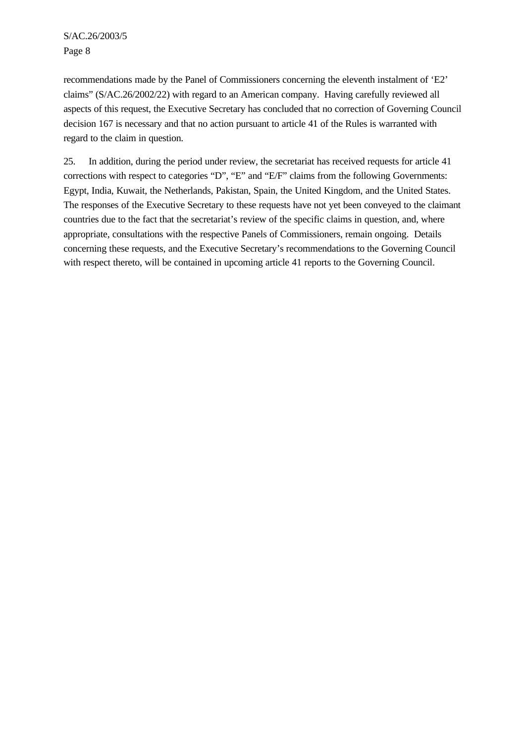recommendations made by the Panel of Commissioners concerning the eleventh instalment of 'E2' claims" (S/AC.26/2002/22) with regard to an American company. Having carefully reviewed all aspects of this request, the Executive Secretary has concluded that no correction of Governing Council decision 167 is necessary and that no action pursuant to article 41 of the Rules is warranted with regard to the claim in question.

25. In addition, during the period under review, the secretariat has received requests for article 41 corrections with respect to categories "D", "E" and "E/F" claims from the following Governments: Egypt, India, Kuwait, the Netherlands, Pakistan, Spain, the United Kingdom, and the United States. The responses of the Executive Secretary to these requests have not yet been conveyed to the claimant countries due to the fact that the secretariat's review of the specific claims in question, and, where appropriate, consultations with the respective Panels of Commissioners, remain ongoing. Details concerning these requests, and the Executive Secretary's recommendations to the Governing Council with respect thereto, will be contained in upcoming article 41 reports to the Governing Council.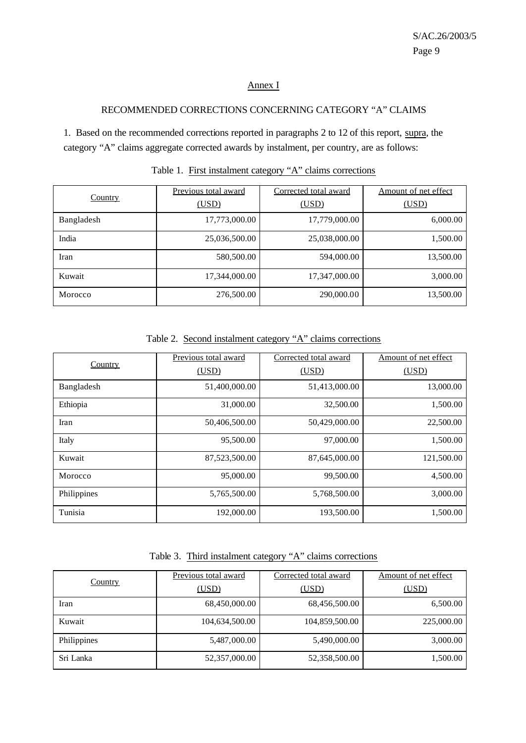# Annex I

#### RECOMMENDED CORRECTIONS CONCERNING CATEGORY "A" CLAIMS

1. Based on the recommended corrections reported in paragraphs 2 to 12 of this report, supra, the category "A" claims aggregate corrected awards by instalment, per country, are as follows:

|                | Previous total award | Corrected total award | Amount of net effect |  |
|----------------|----------------------|-----------------------|----------------------|--|
| <b>Country</b> | (USD)                | (USD)                 | (USD)                |  |
| Bangladesh     | 17,773,000.00        | 17,779,000.00         | 6,000.00             |  |
| India          | 25,036,500.00        | 25,038,000.00         | 1,500.00             |  |
| Iran           | 580,500.00           | 594,000.00            | 13,500.00            |  |
| Kuwait         | 17,344,000.00        | 17,347,000.00         | 3,000.00             |  |
| Morocco        | 276,500.00           | 290,000.00            | 13,500.00            |  |

Table 1. First instalment category "A" claims corrections

| Country     | Previous total award | Corrected total award | Amount of net effect |
|-------------|----------------------|-----------------------|----------------------|
|             | (USD)                | (USD)                 | (USD)                |
| Bangladesh  | 51,400,000.00        | 51,413,000.00         | 13,000.00            |
| Ethiopia    | 31,000.00            | 32,500.00             | 1,500.00             |
| Iran        | 50,406,500.00        | 50,429,000.00         | 22,500.00            |
| Italy       | 95,500.00            | 97,000.00             | 1,500.00             |
| Kuwait      | 87,523,500.00        | 87,645,000.00         | 121,500.00           |
| Morocco     | 95,000.00            | 99,500.00             | 4,500.00             |
| Philippines | 5,765,500.00         | 5,768,500.00          | 3,000.00             |
| Tunisia     | 192,000.00           | 193,500.00            | 1,500.00             |

Table 2. Second instalment category "A" claims corrections

Table 3. Third instalment category "A" claims corrections

|                | Previous total award | Corrected total award | Amount of net effect |
|----------------|----------------------|-----------------------|----------------------|
| <b>Country</b> | (USD)                | (USD)                 | (USD)                |
| Iran           | 68,450,000.00        | 68,456,500.00         | 6,500.00             |
| Kuwait         | 104,634,500.00       | 104,859,500.00        | 225,000.00           |
| Philippines    | 5,487,000.00         | 5,490,000.00          | 3,000.00             |
| Sri Lanka      | 52,357,000.00        | 52,358,500.00         | 1,500.00             |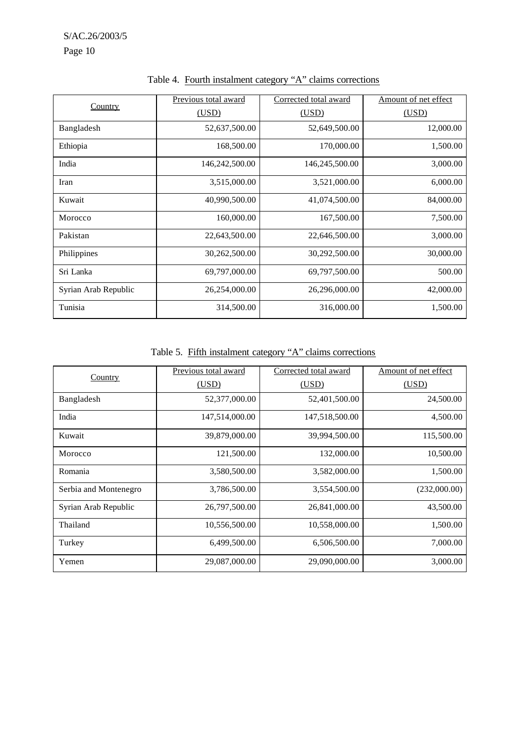| Country              | Previous total award | Corrected total award | Amount of net effect |
|----------------------|----------------------|-----------------------|----------------------|
|                      | (USD)                | (USD)                 | (USD)                |
| Bangladesh           | 52,637,500.00        | 52,649,500.00         | 12,000.00            |
| Ethiopia             | 168,500.00           | 170,000.00            | 1,500.00             |
| India                | 146,242,500.00       | 146,245,500.00        | 3,000.00             |
| Iran                 | 3,515,000.00         | 3,521,000.00          | 6,000.00             |
| Kuwait               | 40,990,500.00        | 41,074,500.00         | 84,000.00            |
| Morocco              | 160,000.00           | 167,500.00            | 7,500.00             |
| Pakistan             | 22,643,500.00        | 22,646,500.00         | 3,000.00             |
| Philippines          | 30,262,500.00        | 30,292,500.00         | 30,000.00            |
| Sri Lanka            | 69,797,000.00        | 69,797,500.00         | 500.00               |
| Syrian Arab Republic | 26,254,000.00        | 26,296,000.00         | 42,000.00            |
| Tunisia              | 314,500.00           | 316,000.00            | 1,500.00             |

Table 4. Fourth instalment category "A" claims corrections

Table 5. Fifth instalment category "A" claims corrections

|                       | Previous total award | Corrected total award | Amount of net effect |
|-----------------------|----------------------|-----------------------|----------------------|
| <b>Country</b>        | (USD)                | (USD)                 | (USD)                |
| Bangladesh            | 52,377,000.00        | 52,401,500.00         | 24,500.00            |
| India                 | 147,514,000.00       | 147,518,500.00        | 4,500.00             |
| Kuwait                | 39,879,000.00        | 39,994,500.00         | 115,500.00           |
| Morocco               | 121,500.00           | 132,000.00            | 10,500.00            |
| Romania               | 3,580,500.00         | 3,582,000.00          | 1,500.00             |
| Serbia and Montenegro | 3,786,500.00         | 3,554,500.00          | (232,000.00)         |
| Syrian Arab Republic  | 26,797,500.00        | 26,841,000.00         | 43,500.00            |
| Thailand              | 10,556,500.00        | 10,558,000.00         | 1,500.00             |
| Turkey                | 6,499,500.00         | 6,506,500.00          | 7,000.00             |
| Yemen                 | 29,087,000.00        | 29,090,000.00         | 3,000.00             |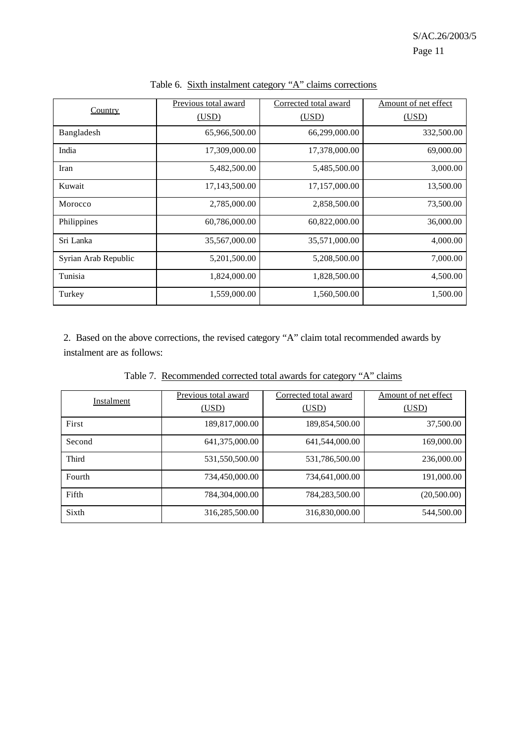|                      | Previous total award | Corrected total award | Amount of net effect |
|----------------------|----------------------|-----------------------|----------------------|
| <b>Country</b>       | (USD)                | (USD)                 | (USD)                |
| Bangladesh           | 65,966,500.00        | 66,299,000.00         | 332,500.00           |
| India                | 17,309,000.00        | 17,378,000.00         | 69,000.00            |
| Iran                 | 5,482,500.00         | 5,485,500.00          | 3,000.00             |
| Kuwait               | 17,143,500.00        | 17,157,000.00         | 13,500.00            |
| Morocco              | 2,785,000.00         | 2,858,500.00          | 73,500.00            |
| Philippines          | 60,786,000.00        | 60,822,000.00         | 36,000.00            |
| Sri Lanka            | 35,567,000.00        | 35,571,000.00         | 4,000.00             |
| Syrian Arab Republic | 5,201,500.00         | 5,208,500.00          | 7,000.00             |
| Tunisia              | 1,824,000.00         | 1,828,500.00          | 4,500.00             |
| Turkey               | 1,559,000.00         | 1,560,500.00          | 1,500.00             |

Table 6. Sixth instalment category "A" claims corrections

2. Based on the above corrections, the revised category "A" claim total recommended awards by instalment are as follows:

| Table 7. Recommended corrected total awards for category "A" claims |  |  |  |  |
|---------------------------------------------------------------------|--|--|--|--|
|                                                                     |  |  |  |  |

| Instalment | Previous total award | Corrected total award | Amount of net effect |  |  |
|------------|----------------------|-----------------------|----------------------|--|--|
|            | (USD)                | (USD)                 | (USD)                |  |  |
| First      | 189,817,000.00       | 189,854,500.00        | 37,500.00            |  |  |
| Second     | 641,375,000.00       | 641,544,000.00        | 169,000.00           |  |  |
| Third      | 531,550,500.00       | 531,786,500.00        | 236,000.00           |  |  |
| Fourth     | 734,450,000.00       | 734,641,000.00        | 191,000.00           |  |  |
| Fifth      | 784,304,000.00       | 784,283,500.00        | (20,500.00)          |  |  |
| Sixth      | 316,285,500.00       | 316,830,000.00        | 544,500.00           |  |  |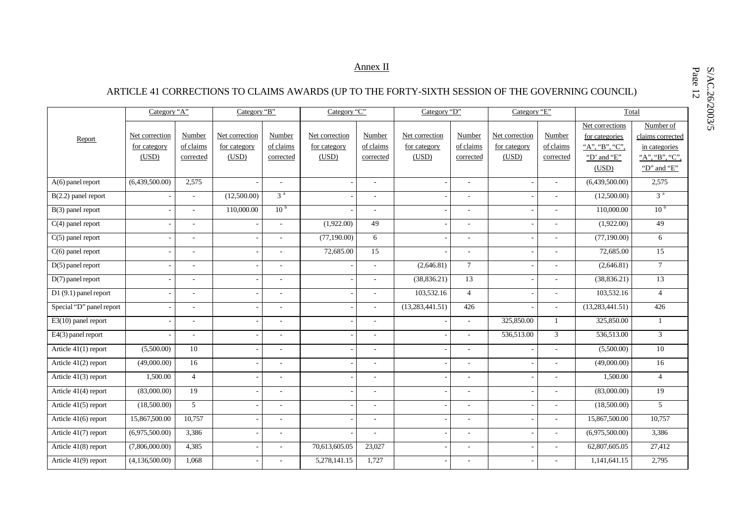# Annex II

# ARTICLE 41 CORRECTIONS TO CLAIMS AWARDS (UP TO THE FORTY-SIXTH SESSION OF THE GOVERNING COUNCIL)

|                                   | Category "A"                            |                                  | Category "B"                            |                                  | Category "C"                            |                                  | Category "D"                            |                                  | Category "E"                            |                                  | Total                                                                       |                                                                                 |
|-----------------------------------|-----------------------------------------|----------------------------------|-----------------------------------------|----------------------------------|-----------------------------------------|----------------------------------|-----------------------------------------|----------------------------------|-----------------------------------------|----------------------------------|-----------------------------------------------------------------------------|---------------------------------------------------------------------------------|
| Report                            | Net correction<br>for category<br>(USD) | Number<br>of claims<br>corrected | Net correction<br>for category<br>(USD) | Number<br>of claims<br>corrected | Net correction<br>for category<br>(USD) | Number<br>of claims<br>corrected | Net correction<br>for category<br>(USD) | Number<br>of claims<br>corrected | Net correction<br>for category<br>(USD) | Number<br>of claims<br>corrected | Net corrections<br>for categories<br>"A", "B", "C",<br>"D' and "E"<br>(USD) | Number of<br>claims corrected<br>in categories<br>"A", "B", "C",<br>"D" and "E" |
| A(6) panel report                 | (6,439,500.00)                          | 2,575                            |                                         | ÷.                               |                                         | ÷,                               |                                         | ٠                                |                                         |                                  | (6,439,500.00)                                                              | 2,575                                                                           |
| $B(2.2)$ panel report             |                                         | $\sim$                           | (12,500.00)                             | 3 <sup>a</sup>                   |                                         | ÷,                               |                                         | ÷,                               |                                         |                                  | (12,500.00)                                                                 | 3 <sup>a</sup>                                                                  |
| B(3) panel report                 |                                         | $\sim$                           | 110,000.00                              | 10 <sup>b</sup>                  |                                         | ÷.                               |                                         | $\sim$                           |                                         |                                  | 110,000.00                                                                  | 10 <sup>b</sup>                                                                 |
| $C(4)$ panel report               |                                         |                                  |                                         | $\overline{\phantom{a}}$         | (1,922.00)                              | 49                               |                                         | ÷,                               |                                         |                                  | (1,922.00)                                                                  | 49                                                                              |
| $C(5)$ panel report               |                                         |                                  | $\overline{\phantom{a}}$                | $\sim$                           | (77,190.00)                             | 6                                |                                         | ٠                                | $\overline{\phantom{a}}$                |                                  | (77,190.00)                                                                 | 6                                                                               |
| $C(6)$ panel report               |                                         | $\overline{\phantom{a}}$         | ÷,                                      | ÷.                               | 72,685.00                               | 15                               |                                         | $\sim$                           | ÷,                                      |                                  | 72,685.00                                                                   | 15                                                                              |
| $D(5)$ panel report               |                                         |                                  |                                         | $\overline{\phantom{a}}$         |                                         | ÷,                               | (2,646.81)                              | $7\phantom{.0}$                  |                                         |                                  | (2,646.81)                                                                  | $7\phantom{.0}$                                                                 |
| $D(7)$ panel report               |                                         |                                  |                                         | ÷.                               |                                         | ٠                                | (38, 836.21)                            | 13                               |                                         |                                  | (38, 836.21)                                                                | 13                                                                              |
| $\overline{D1(9.1)}$ panel report |                                         |                                  |                                         | $\sim$                           |                                         | ÷,                               | 103,532.16                              | $\overline{4}$                   |                                         |                                  | 103,532.16                                                                  | $\overline{4}$                                                                  |
| Special "D" panel report          |                                         | $\sim$                           |                                         | ÷.                               |                                         | ÷.                               | (13, 283, 441.51)                       | 426                              |                                         |                                  | (13,283,441.51)                                                             | 426                                                                             |
| $E3(10)$ panel report             |                                         |                                  | ÷,                                      | ÷.                               |                                         | ÷,                               |                                         | ÷,                               | 325,850.00                              | $\mathbf{1}$                     | 325,850.00                                                                  | $\mathbf{1}$                                                                    |
| E4(3) panel report                |                                         | $\sim$                           | ÷,                                      | $\sim$                           |                                         | ÷,                               |                                         | $\sim$                           | 536,513.00                              | $\overline{3}$                   | 536,513.00                                                                  | 3                                                                               |
| Article $41(1)$ report            | (5,500.00)                              | 10                               | ÷,                                      | $\sim$                           |                                         | ÷,                               |                                         | ÷.                               |                                         |                                  | (5,500.00)                                                                  | 10                                                                              |
| Article 41(2) report              | (49,000.00)                             | 16                               |                                         |                                  |                                         | $\overline{\phantom{a}}$         |                                         | $\overline{\phantom{a}}$         |                                         |                                  | (49,000.00)                                                                 | 16                                                                              |
| Article 41(3) report              | 1,500.00                                | $\overline{4}$                   | ÷,                                      | ÷.                               |                                         | ÷                                |                                         | $\sim$                           | $\overline{\phantom{a}}$                |                                  | 1,500.00                                                                    | $\overline{4}$                                                                  |
| Article 41(4) report              | (83,000.00)                             | 19                               | ÷,                                      | $\blacksquare$                   |                                         | $\overline{\phantom{a}}$         |                                         | ÷,                               |                                         |                                  | (83,000.00)                                                                 | 19                                                                              |
| Article 41(5) report              | (18,500.00)                             | $\mathcal{F}$                    | L,                                      | $\sim$                           |                                         | ÷.                               |                                         | $\sim$                           | $\overline{\phantom{a}}$                | ÷                                | (18,500.00)                                                                 | 5 <sup>5</sup>                                                                  |
| Article 41(6) report              | 15,867,500.00                           | 10,757                           | ÷,                                      | $\overline{\phantom{a}}$         |                                         | $\overline{a}$                   |                                         | $\overline{\phantom{a}}$         |                                         |                                  | 15,867,500.00                                                               | 10,757                                                                          |
| Article 41(7) report              | (6,975,500.00)                          | 3,386                            | $\overline{\phantom{a}}$                | ÷.                               |                                         | ÷                                |                                         | ٠                                | $\overline{\phantom{a}}$                | $\sim$                           | (6,975,500.00)                                                              | 3,386                                                                           |
| Article 41(8) report              | (7,806,000.00)                          | 4,385                            | $\overline{a}$                          | ÷.                               | 70,613,605.05                           | 23,027                           |                                         | $\sim$                           |                                         | $\sim$                           | 62,807,605.05                                                               | 27,412                                                                          |
| Article 41(9) report              | (4,136,500.00)                          | 1,068                            |                                         |                                  | 5,278,141.15                            | 1,727                            |                                         |                                  |                                         |                                  | 1,141,641.15                                                                | 2,795                                                                           |

Page S/AC.26/2003/5 12